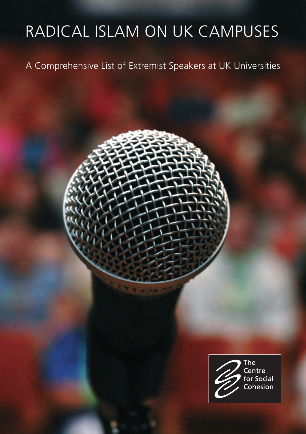# RADICAL ISLAM ON UK CAMPUSES

# A Comprehensive List of Extremist Speakers at UK Universities

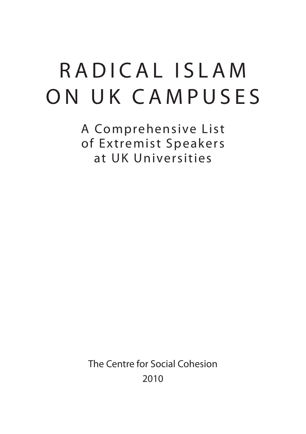# RADICAL ISLAM ON UK CAMPUSES

A Comprehensive List of Ex tremist Speakers at UK Universities

The Centre for Social Cohesion 2010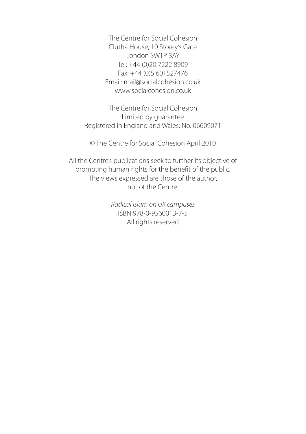The Centre for Social Cohesion Clutha House, 10 Storey's Gate London SW1P 3AY Tel: +44 (0)20 7222 8909 Fax: +44 (0)5 601527476 Email: mail@socialcohesion.co.uk www.socialcohesion.co.uk

The Centre for Social Cohesion Limited by guarantee Registered in England and Wales: No. 06609071

© The Centre for Social Cohesion April 2010

All the Centre's publications seek to further its objective of promoting human rights for the benefit of the public. The views expressed are those of the author, not of the Centre.

> *Radical Islam on UK campuses*  ISBN 978-0-9560013-7-5 All rights reserved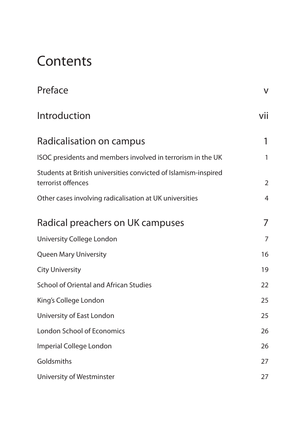# **Contents**

| Preface                                                                               | V              |
|---------------------------------------------------------------------------------------|----------------|
| Introduction                                                                          | vii            |
| Radicalisation on campus                                                              | 1              |
| ISOC presidents and members involved in terrorism in the UK                           | 1              |
| Students at British universities convicted of Islamism-inspired<br>terrorist offences | $\overline{2}$ |
| Other cases involving radicalisation at UK universities                               | 4              |
| Radical preachers on UK campuses                                                      | 7              |
| University College London                                                             | $\overline{7}$ |
| Queen Mary University                                                                 | 16             |
| <b>City University</b>                                                                | 19             |
| <b>School of Oriental and African Studies</b>                                         | 22             |
| King's College London                                                                 | 25             |
| University of East London                                                             | 25             |
| <b>London School of Economics</b>                                                     | 26             |
| Imperial College London                                                               | 26             |
| Goldsmiths                                                                            | 27             |
| University of Westminster                                                             | 27             |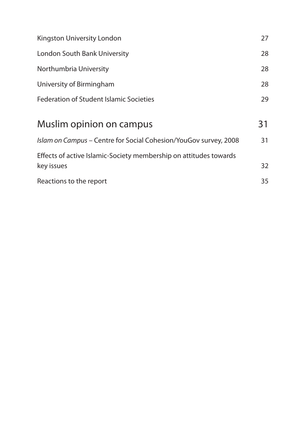| Kingston University London                                                      | 27 |
|---------------------------------------------------------------------------------|----|
| London South Bank University                                                    | 28 |
| Northumbria University                                                          | 28 |
| University of Birmingham                                                        | 28 |
| Federation of Student Islamic Societies                                         | 29 |
| Muslim opinion on campus                                                        | 31 |
| Islam on Campus - Centre for Social Cohesion/YouGov survey, 2008                | 31 |
| Effects of active Islamic-Society membership on attitudes towards<br>key issues | 32 |
| Reactions to the report                                                         | 35 |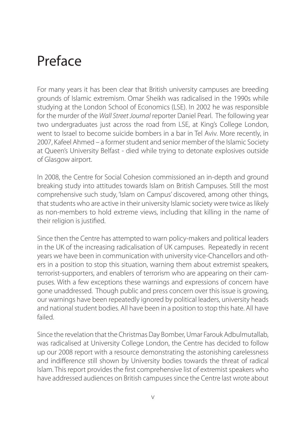# Preface

For many years it has been clear that British university campuses are breeding grounds of Islamic extremism. Omar Sheikh was radicalised in the 1990s while studying at the London School of Economics (LSE). In 2002 he was responsible for the murder of the *Wall Street Journal* reporter Daniel Pearl. The following year two undergraduates just across the road from LSE, at King's College London, went to Israel to become suicide bombers in a bar in Tel Aviv. More recently, in 2007, Kafeel Ahmed – a former student and senior member of the Islamic Society at Queen's University Belfast - died while trying to detonate explosives outside of Glasgow airport.

In 2008, the Centre for Social Cohesion commissioned an in-depth and ground breaking study into attitudes towards Islam on British Campuses. Still the most comprehensive such study, 'Islam on Campus' discovered, among other things, that students who are active in their university Islamic society were twice as likely as non-members to hold extreme views, including that killing in the name of their religion is justified.

Since then the Centre has attempted to warn policy-makers and political leaders in the UK of the increasing radicalisation of UK campuses. Repeatedly in recent years we have been in communication with university vice-Chancellors and others in a position to stop this situation, warning them about extremist speakers, terrorist-supporters, and enablers of terrorism who are appearing on their campuses. With a few exceptions these warnings and expressions of concern have gone unaddressed. Though public and press concern over this issue is growing, our warnings have been repeatedly ignored by political leaders, university heads and national student bodies. All have been in a position to stop this hate. All have failed.

Since the revelation that the Christmas Day Bomber, Umar Farouk Adbulmutallab, was radicalised at University College London, the Centre has decided to follow up our 2008 report with a resource demonstrating the astonishing carelessness and indifference still shown by University bodies towards the threat of radical Islam. This report provides the first comprehensive list of extremist speakers who have addressed audiences on British campuses since the Centre last wrote about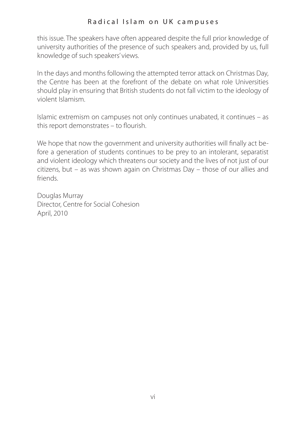this issue. The speakers have often appeared despite the full prior knowledge of university authorities of the presence of such speakers and, provided by us, full knowledge of such speakers' views.

In the days and months following the attempted terror attack on Christmas Day, the Centre has been at the forefront of the debate on what role Universities should play in ensuring that British students do not fall victim to the ideology of violent Islamism.

Islamic extremism on campuses not only continues unabated, it continues – as this report demonstrates – to flourish.

We hope that now the government and university authorities will finally act before a generation of students continues to be prey to an intolerant, separatist and violent ideology which threatens our society and the lives of not just of our citizens, but – as was shown again on Christmas Day – those of our allies and friends.

Douglas Murray Director, Centre for Social Cohesion April, 2010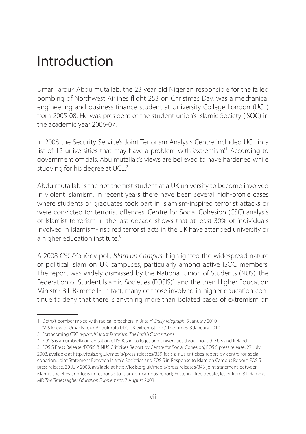# Introduction

Umar Farouk Abdulmutallab, the 23 year old Nigerian responsible for the failed bombing of Northwest Airlines flight 253 on Christmas Day, was a mechanical engineering and business finance student at University College London (UCL) from 2005-08. He was president of the student union's Islamic Society (ISOC) in the academic year 2006-07.

In 2008 the Security Service's Joint Terrorism Analysis Centre included UCL in a list of 12 universities that may have a problem with 'extremism'.<sup>1</sup> According to government officials, Abulmutallab's views are believed to have hardened while studying for his degree at UCL.<sup>2</sup>

Abdulmutallab is the not the first student at a UK university to become involved in violent Islamism. In recent years there have been several high-profile cases where students or graduates took part in Islamism-inspired terrorist attacks or were convicted for terrorist offences. Centre for Social Cohesion (CSC) analysis of Islamist terrorism in the last decade shows that at least 30% of individuals involved in Islamism-inspired terrorist acts in the UK have attended university or a higher education institute.<sup>3</sup>

A 2008 CSC/YouGov poll, *Islam on Campus*, highlighted the widespread nature of political Islam on UK campuses, particularly among active ISOC members. The report was widely dismissed by the National Union of Students (NUS), the Federation of Student Islamic Societies (FOSIS)<sup>4</sup>, and the then Higher Education Minister Bill Rammell.<sup>5</sup> In fact, many of those involved in higher education continue to deny that there is anything more than isolated cases of extremism on

<sup>1</sup> Detroit bomber mixed with radical preachers in Britain', *Daily Telegraph*, 5 January 2010

<sup>2</sup> 'MI5 knew of Umar Farouk Abdulmutallab's UK extremist links', The Times, 3 January 2010

<sup>3</sup> Forthcoming CSC report, *Islamist Terrorism: The British Connections*

<sup>4</sup> FOSIS is an umbrella organisation of ISOCs in colleges and universities throughout the UK and Ireland

<sup>5</sup> FOSIS Press Release: 'FOSIS & NUS Criticises Report by Centre for Social Cohesion', FOSIS press release, 27 July 2008, available at http://fosis.org.uk/media/press-releases/339-fosis-a-nus-criticises-report-by-centre-for-socialcohesion; 'Joint Statement Between Islamic Societies and FOSIS in Response to Islam on Campus Report', FOSIS press release, 30 July 2008, available at http://fosis.org.uk/media/press-releases/343-joint-statement-betweenislamic-societies-and-fosis-in-response-to-islam-on-campus-report; 'Fostering free debate', letter from Bill Rammell MP, *The Times Higher Education Supplement*, 7 August 2008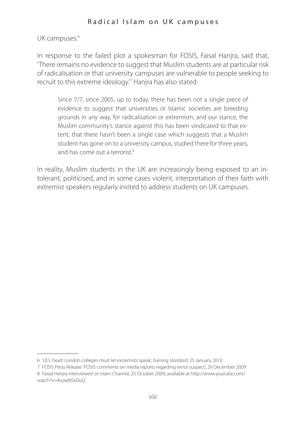UK campuses.<sup>6</sup>

In response to the failed plot a spokesman for FOSIS, Faisal Hanira, said that, 'There remains no evidence to suggest that Muslim students are at particular risk of radicalisation or that university campuses are vulnerable to people seeking to recruit to this extreme ideology.'7 Hanjra has also stated:

Since 7/7, since 2005, up to today, there has been not a single piece of evidence to suggest that universities or Islamic societies are breeding grounds in any way, for radicalisation or extremism, and our stance, the Muslim community's stance against this has been vindicated to that extent, that there hasn't been a single case which suggests that a Muslim student has gone on to a university campus, studied there for three years, and has come out a terrorist  $8$ 

In reality, Muslim students in the UK are increasingly being exposed to an intolerant, politicised, and in some cases violent, interpretation of their faith with extremist speakers regularly invited to address students on UK campuses.

<sup>6</sup> 'UCL head: London colleges must let extremists speak', *Evening Standard*, 25 January 2010

<sup>7</sup> FOSIS Press Release: 'FOSIS comments on media reports regarding terror suspect', 29 December 2009 8 Faisal Hanjra interviewed on Islam Channel, 25 October 2009, available at http://www.youtube.com/

watch?v=4uoxjNSsDuQ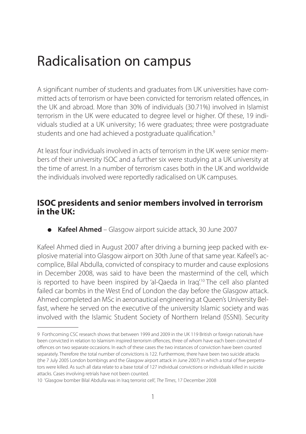# Radicalisation on campus

A significant number of students and graduates from UK universities have committed acts of terrorism or have been convicted for terrorism related offences, in the UK and abroad. More than 30% of individuals (30.71%) involved in Islamist terrorism in the UK were educated to degree level or higher. Of these, 19 individuals studied at a UK university; 16 were graduates; three were postgraduate students and one had achieved a postgraduate qualification.<sup>9</sup>

At least four individuals involved in acts of terrorism in the UK were senior members of their university ISOC and a further six were studying at a UK university at the time of arrest. In a number of terrorism cases both in the UK and worldwide the individuals involved were reportedly radicalised on UK campuses.

#### **ISOC presidents and senior members involved in terrorism in the UK:**

● **Kafeel Ahmed** – Glasgow airport suicide attack, 30 June 2007

Kafeel Ahmed died in August 2007 after driving a burning jeep packed with explosive material into Glasgow airport on 30th June of that same year. Kafeel's accomplice, Bilal Abdulla, convicted of conspiracy to murder and cause explosions in December 2008, was said to have been the mastermind of the cell, which is reported to have been inspired by 'al-Qaeda in Iraq'.10 The cell also planted failed car bombs in the West End of London the day before the Glasgow attack. Ahmed completed an MSc in aeronautical engineering at Queen's University Belfast, where he served on the executive of the university Islamic society and was involved with the Islamic Student Society of Northern Ireland (ISSNI). Security

<sup>9</sup> Forthcoming CSC research shows that between 1999 and 2009 in the UK 119 British or foreign nationals have been convicted in relation to Islamism inspired terrorism offences, three of whom have each been convicted of offences on two separate occasions. In each of these cases the two instances of conviction have been counted separately. Therefore the total number of convictions is 122. Furthermore, there have been two suicide attacks (the 7 July 2005 London bombings and the Glasgow airport attack in June 2007) in which a total of five perpetrators were killed. As such all data relate to a base total of 127 individual convictions or individuals killed in suicide attacks. Cases involving retrials have not been counted.

<sup>10</sup> 'Glasgow bomber Bilal Abdulla was in Iraq terrorist cell', *The Times*, 17 December 2008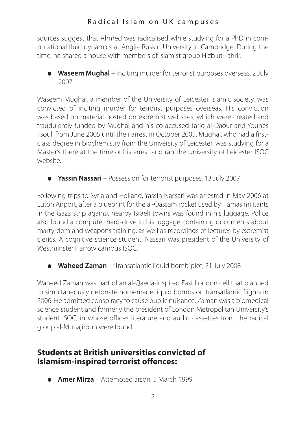sources suggest that Ahmed was radicalised while studying for a PhD in computational fluid dynamics at Anglia Ruskin University in Cambridge. During the time, he shared a house with members of Islamist group Hizb ut-Tahrir.

● **Waseem Mughal** – Inciting murder for terrorist purposes overseas, 2 July 2007

Waseem Mughal, a member of the University of Leicester Islamic society, was convicted of inciting murder for terrorist purposes overseas. His conviction was based on material posted on extremist websites, which were created and fraudulently funded by Mughal and his co-accused Tariq al-Daour and Younes Tsouli from June 2005 until their arrest in October 2005. Mughal, who had a firstclass degree in biochemistry from the University of Leicester, was studying for a Master's there at the time of his arrest and ran the University of Leicester ISOC website.

● **Yassin Nassari** – Possession for terrorist purposes, 13 July 2007

Following trips to Syria and Holland, Yassin Nassari was arrested in May 2006 at Luton Airport, after a blueprint for the al-Qassam rocket used by Hamas militants in the Gaza strip against nearby Israeli towns was found in his luggage. Police also found a computer hard-drive in his luggage containing documents about martyrdom and weapons training, as well as recordings of lectures by extremist clerics. A cognitive science student, Nassari was president of the University of Westminster Harrow campus ISOC.

● **Waheed Zaman** – 'Transatlantic liquid bomb' plot, 21 July 2008

Waheed Zaman was part of an al-Qaeda-inspired East London cell that planned to simultaneously detonate homemade liquid bombs on transatlantic flights in 2006. He admitted conspiracy to cause public nuisance. Zaman was a biomedical science student and formerly the president of London Metropolitan University's student ISOC, in whose offices literature and audio cassettes from the radical group al-Muhajiroun were found.

## **Students at British universities convicted of Islamism-inspired terrorist offences:**

● **Amer Mirza** – Attempted arson, 5 March 1999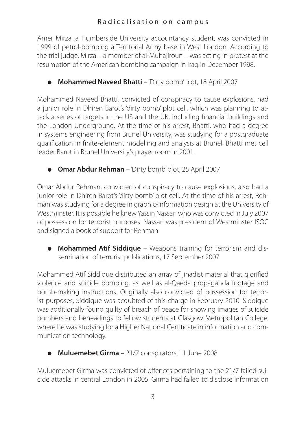#### Radicalisation on campus

Amer Mirza, a Humberside University accountancy student, was convicted in 1999 of petrol-bombing a Territorial Army base in West London. According to the trial judge, Mirza – a member of al-Muhajiroun – was acting in protest at the resumption of the American bombing campaign in Iraq in December 1998.

● **Mohammed Naveed Bhatti** – 'Dirty bomb' plot, 18 April 2007

Mohammed Naveed Bhatti, convicted of conspiracy to cause explosions, had a junior role in Dhiren Barot's 'dirty bomb' plot cell, which was planning to attack a series of targets in the US and the UK, including financial buildings and the London Underground. At the time of his arrest, Bhatti, who had a degree in systems engineering from Brunel University, was studying for a postgraduate qualification in finite-element modelling and analysis at Brunel. Bhatti met cell leader Barot in Brunel University's prayer room in 2001.

● **Omar Abdur Rehman** – 'Dirty bomb' plot, 25 April 2007

Omar Abdur Rehman, convicted of conspiracy to cause explosions, also had a junior role in Dhiren Barot's 'dirty bomb' plot cell. At the time of his arrest, Rehman was studying for a degree in graphic-information design at the University of Westminster. It is possible he knew Yassin Nassari who was convicted in July 2007 of possession for terrorist purposes. Nassari was president of Westminster ISOC and signed a book of support for Rehman.

● **Mohammed Atif Siddique** – Weapons training for terrorism and dissemination of terrorist publications, 17 September 2007

Mohammed Atif Siddique distributed an array of jihadist material that glorified violence and suicide bombing, as well as al-Qaeda propaganda footage and bomb-making instructions. Originally also convicted of possession for terrorist purposes, Siddique was acquitted of this charge in February 2010. Siddique was additionally found guilty of breach of peace for showing images of suicide bombers and beheadings to fellow students at Glasgow Metropolitan College, where he was studying for a Higher National Certificate in information and communication technology.

● **Muluemebet Girma** – 21/7 conspirators, 11 June 2008

Muluemebet Girma was convicted of offences pertaining to the 21/7 failed suicide attacks in central London in 2005. Girma had failed to disclose information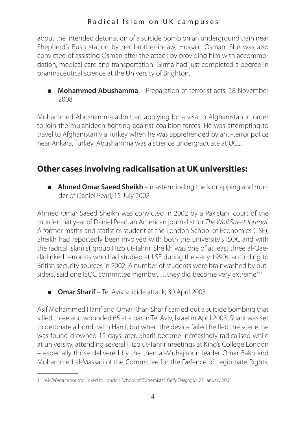about the intended detonation of a suicide bomb on an underground train near Shepherd's Bush station by her brother-in-law, Hussain Osman. She was also convicted of assisting Osman after the attack by providing him with accommodation, medical care and transportation. Girma had just completed a degree in pharmaceutical science at the University of Brighton.

● **Mohammed Abushamma** – Preparation of terrorist acts, 28 November 2008

Mohammed Abushamma admitted applying for a visa to Afghanistan in order to join the mujahideen fighting against coalition forces. He was attempting to travel to Afghanistan via Turkey when he was apprehended by anti-terror police near Ankara, Turkey. Abushamma was a science undergraduate at UCL.

# **Other cases involving radicalisation at UK universities:**

● **Ahmed Omar Saeed Sheikh** – masterminding the kidnapping and murder of Daniel Pearl, 15 July 2002

Ahmed Omar Saeed Sheikh was convicted in 2002 by a Pakistani court of the murder that year of Daniel Pearl, an American journalist for *The Wall Street Journal.* A former maths and statistics student at the London School of Economics (LSE), Sheikh had reportedly been involved with both the university's ISOC and with the radical Islamist group Hizb ut-Tahrir. Sheikh was one of at least three al-Qaeda-linked terrorists who had studied at LSE during the early 1990s, according to British security sources in 2002. 'A number of students were brainwashed by outsiders', said one ISOC committee member, '... they did become very extreme.'<sup>11</sup>

● **Omar Sharif** – Tel Aviv suicide attack, 30 April 2003

Asif Mohammed Hanif and Omar Khan Sharif carried out a suicide bombing that killed three and wounded 65 at a bar in Tel Aviv, Israel in April 2003. Sharif was set to detonate a bomb with Hanif, but when the device failed he fled the scene; he was found drowned 12 days later. Sharif became increasingly radicalised while at university, attending several Hizb ut-Tahrir meetings at King's College London – especially those delivered by the then al-Muhajiroun leader Omar Bakri and Mohammed al-Massari of the Committee for the Defence of Legitimate Rights,

<sup>11</sup> 'Al-Qa'eda terror trio linked to London School of "Extremists"', *Daily Telegraph*, 27 January 2002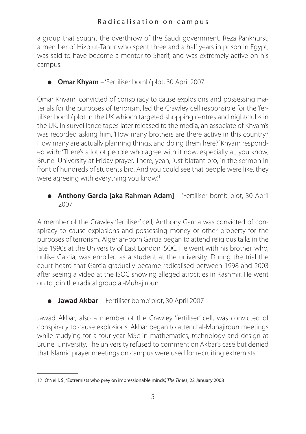a group that sought the overthrow of the Saudi government. Reza Pankhurst, a member of Hizb ut-Tahrir who spent three and a half years in prison in Egypt, was said to have become a mentor to Sharif, and was extremely active on his campus.

● **Omar Khyam** – 'Fertiliser bomb' plot, 30 April 2007

Omar Khyam, convicted of conspiracy to cause explosions and possessing materials for the purposes of terrorism, led the Crawley cell responsible for the 'fertiliser bomb' plot in the UK whioch targeted shopping centres and nightclubs in the UK. In surveillance tapes later released to the media, an associate of Khyam's was recorded asking him, 'How many brothers are there active in this country? How many are actually planning things, and doing them here?' Khyam responded with: 'There's a lot of people who agree with it now, especially at, you know, Brunel University at Friday prayer. There, yeah, just blatant bro, in the sermon in front of hundreds of students bro. And you could see that people were like, they were agreeing with everything you know.<sup>'12</sup>

● **Anthony Garcia [aka Rahman Adam]** – 'Fertiliser bomb' plot, 30 April 2007

A member of the Crawley 'fertiliser' cell, Anthony Garcia was convicted of conspiracy to cause explosions and possessing money or other property for the purposes of terrorism. Algerian-born Garcia began to attend religious talks in the late 1990s at the University of East London ISOC. He went with his brother, who, unlike Garcia, was enrolled as a student at the university. During the trial the court heard that Garcia gradually became radicalised between 1998 and 2003 after seeing a video at the ISOC showing alleged atrocities in Kashmir. He went on to join the radical group al-Muhajiroun.

● **Jawad Akbar** – 'Fertiliser bomb' plot, 30 April 2007

Jawad Akbar, also a member of the Crawley 'fertiliser' cell, was convicted of conspiracy to cause explosions. Akbar began to attend al-Muhajiroun meetings while studying for a four-year MSc in mathematics, technology and design at Brunel University. The university refused to comment on Akbar's case but denied that Islamic prayer meetings on campus were used for recruiting extremists.

<sup>12</sup> O'Neill, S., 'Extremists who prey on impressionable minds', *The Times*, 22 January 2008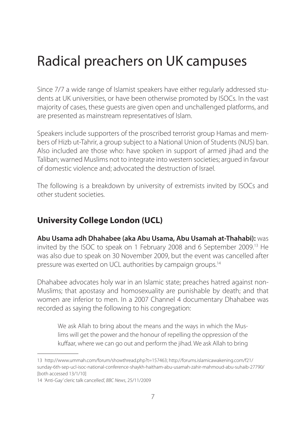Since 7/7 a wide range of Islamist speakers have either regularly addressed students at UK universities, or have been otherwise promoted by ISOCs. In the vast majority of cases, these guests are given open and unchallenged platforms, and are presented as mainstream representatives of Islam.

Speakers include supporters of the proscribed terrorist group Hamas and members of Hizb ut-Tahrir, a group subject to a National Union of Students (NUS) ban. Also included are those who: have spoken in support of armed jihad and the Taliban; warned Muslims not to integrate into western societies; argued in favour of domestic violence and; advocated the destruction of Israel.

The following is a breakdown by university of extremists invited by ISOCs and other student societies.

# **University College London (UCL)**

**Abu Usama adh Dhahabee (aka Abu Usama, Abu Usamah at-Thahabi):** was invited by the ISOC to speak on 1 February 2008 and 6 September 2009.13 He was also due to speak on 30 November 2009, but the event was cancelled after pressure was exerted on UCL authorities by campaign groups.14

Dhahabee advocates holy war in an Islamic state; preaches hatred against non-Muslims; that apostasy and homosexuality are punishable by death; and that women are inferior to men. In a 2007 Channel 4 documentary Dhahabee was recorded as saying the following to his congregation:

We ask Allah to bring about the means and the ways in which the Muslims will get the power and the honour of repelling the oppression of the kuffaar, where we can go out and perform the jihad. We ask Allah to bring

<sup>13</sup> http://www.ummah.com/forum/showthread.php?t=157463; http://forums.islamicawakening.com/f21/ sunday-6th-sep-ucl-isoc-national-conference-shaykh-haitham-abu-usamah-zahir-mahmoud-abu-suhaib-27790/ [both accessed 13/1/10]

<sup>14</sup> 'Anti-Gay' cleric talk cancelled', *BBC News*, 25/11/2009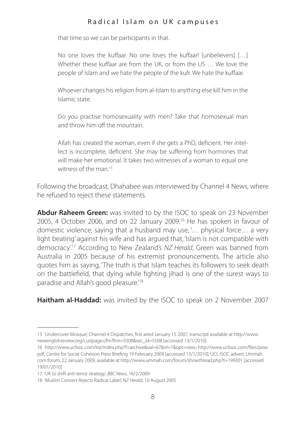that time so we can be participants in that.

No one loves the kuffaar. No one loves the kuffaar! [unbelievers] […] Whether these kuffaar are from the UK, or from the US … We love the people of Islam and we hate the people of the kufr. We hate the kuffaar.

Whoever changes his religion from al-Islam to anything else kill him in the Islamic state.

Do you practise homosexuality with men? Take that homosexual man and throw him off the mountain.

Allah has created the woman, even if she gets a PhD, deficient. Her intellect is incomplete, deficient. She may be suffering from hormones that will make her emotional. It takes two witnesses of a woman to equal one witness of the man $15$ 

Following the broadcast, Dhahabee was interviewed by Channel 4 News, where he refused to reject these statements.

**Abdur Raheem Green:** was invited to by the ISOC to speak on 23 November 2005, 4 October 2006, and on 22 January 2009.16 He has spoken in favour of domestic violence, saying that a husband may use, '… physical force… a very light beating' against his wife and has argued that, 'Islam is not compatible with democracy'.17 According to New Zealand's *NZ Herald*, Green was banned from Australia in 2005 because of his extremist pronouncements. The article also quotes him as saying, 'The truth is that Islam teaches its followers to seek death on the battlefield, that dying while fighting jihad is one of the surest ways to paradise and Allah's good pleasure.<sup>18</sup>

**Haitham al-Haddad:** was invited by the ISOC to speak on 2 November 2007

<sup>15</sup> 'Undercover Mosque', Channel 4 Dispatches, first aired January 15 2007, transcript available at http://www. newenglishreview.org/custpage.cfm?frm=5508&sec\_id=5508 [accessed 13/1/2010]

<sup>16</sup> http://www.uclisoc.com/list/index.php?f=archive&val=67&nl=1&opt=view; http://www.uclisoc.com/files/pow. pdf; Centre for Social Cohesion Press Briefing 19 February 2009 [accessed 13/1/2010]; UCL ISOC advert, Ummah. com forum, 22 January 2009, available at http://www.ummah.com/forum/showthread.php?t=199301 [accessed 19/01/2010]

<sup>17</sup> 'UK to shift anti-terror strategy', *BBC News*, 16/2/2009

<sup>18</sup> 'Muslim Convert Rejects Radical Label', *NZ Herald*, 10 August 2005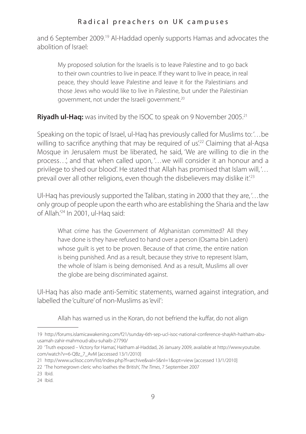and 6 September 2009.19 Al-Haddad openly supports Hamas and advocates the abolition of Israel:

My proposed solution for the Israelis is to leave Palestine and to go back to their own countries to live in peace. If they want to live in peace, in real peace, they should leave Palestine and leave it for the Palestinians and those Jews who would like to live in Palestine, but under the Palestinian government, not under the Israeli government.20

**Rivadh ul-Haq:** was invited by the ISOC to speak on 9 November 2005.<sup>21</sup>

Speaking on the topic of Israel, ul-Haq has previously called for Muslims to: '…be willing to sacrifice anything that may be required of us<sup>'22</sup> Claiming that al-Aqsa Mosque in Jerusalem must be liberated, he said, 'We are willing to die in the process…', and that when called upon, '…we will consider it an honour and a privilege to shed our blood'. He stated that Allah has promised that Islam will, '… prevail over all other religions, even though the disbelievers may dislike it.<sup>23</sup>

Ul-Haq has previously supported the Taliban, stating in 2000 that they are, '…the only group of people upon the earth who are establishing the Sharia and the law of Allah.'24 In 2001, ul-Haq said:

What crime has the Government of Afghanistan committed? All they have done is they have refused to hand over a person (Osama bin Laden) whose guilt is yet to be proven. Because of that crime, the entire nation is being punished. And as a result, because they strive to represent Islam, the whole of Islam is being demonised. And as a result, Muslims all over the globe are being discriminated against.

Ul-Haq has also made anti-Semitic statements, warned against integration, and labelled the 'culture' of non-Muslims as 'evil':

Allah has warned us in the Koran, do not befriend the kuffar, do not align

<sup>19</sup> http://forums.islamicawakening.com/f21/sunday-6th-sep-ucl-isoc-national-conference-shaykh-haitham-abuusamah-zahir-mahmoud-abu-suhaib-27790/

<sup>20</sup> 'Truth exposed – Victory for Hamas', Haitham al-Haddad, 26 January 2009, available at http://www.youtube. com/watch?v=6-QBz\_7\_AvM [accessed 13/1/2010]

<sup>21</sup> http://www.uclisoc.com/list/index.php?f=archive&val=5&nl=1&opt=view [accessed 13/1/2010]

<sup>22</sup> 'The homegrown cleric who loathes the British', *The Times*, 7 September 2007

<sup>23</sup> Ibid.

<sup>24</sup> Ibid.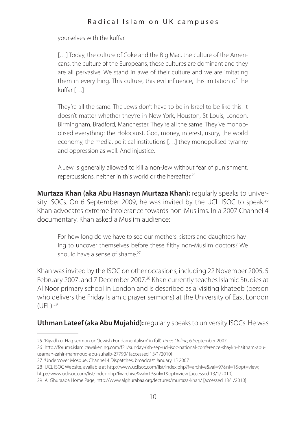yourselves with the kuffar.

[...] Today, the culture of Coke and the Big Mac, the culture of the Americans, the culture of the Europeans, these cultures are dominant and they are all pervasive. We stand in awe of their culture and we are imitating them in everything. This culture, this evil influence, this imitation of the kuffar [ 1

They're all the same. The Jews don't have to be in Israel to be like this. It doesn't matter whether they're in New York, Houston, St Louis, London, Birmingham, Bradford, Manchester. They're all the same. They've monopolised everything: the Holocaust, God, money, interest, usury, the world economy, the media, political institutions […] they monopolised tyranny and oppression as well. And injustice.

A Jew is generally allowed to kill a non-Jew without fear of punishment, repercussions, neither in this world or the hereafter.25

**Murtaza Khan (aka Abu Hasnayn Murtaza Khan):** regularly speaks to university ISOCs. On 6 September 2009, he was invited by the UCL ISOC to speak.<sup>26</sup> Khan advocates extreme intolerance towards non-Muslims. In a 2007 Channel 4 documentary, Khan asked a Muslim audience:

For how long do we have to see our mothers, sisters and daughters having to uncover themselves before these filthy non-Muslim doctors? We should have a sense of shame.<sup>27</sup>

Khan was invited by the ISOC on other occasions, including 22 November 2005, 5 February 2007, and 7 December 2007.<sup>28</sup> Khan currently teaches Islamic Studies at Al Noor primary school in London and is described as a 'visiting khateeb' (person who delivers the Friday Islamic prayer sermons) at the University of East London  $(UFL)^{29}$ 

#### **Uthman Lateef (aka Abu Mujahid):** regularly speaks to university ISOCs. He was

<sup>25</sup> 'Riyadh ul Haq sermon on "Jewish Fundamentalism" in full', *Times Online*, 6 September 2007

<sup>26</sup> http://forums.islamicawakening.com/f21/sunday-6th-sep-ucl-isoc-national-conference-shaykh-haitham-abuusamah-zahir-mahmoud-abu-suhaib-27790/ [accessed 13/1/2010]

<sup>27</sup> 'Undercover Mosque', Channel 4 Dispatches, broadcast January 15 2007

<sup>28</sup> UCL ISOC Website, available at http://www.uclisoc.com/list/index.php?f=archive&val=97&nl=1&opt=view;

http://www.uclisoc.com/list/index.php?f=archive&val=13&nl=1&opt=view [accessed 13/1/2010]

<sup>29</sup> Al Ghuraaba Home Page, http://www.alghurabaa.org/lectures/murtaza-khan/ [accessed 13/1/2010]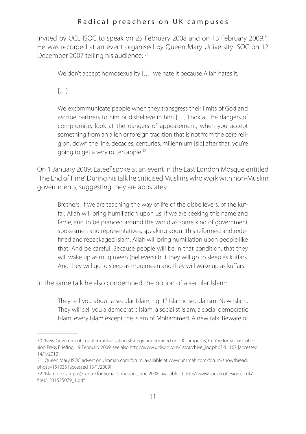invited by UCL ISOC to speak on 25 February 2008 and on 13 February 2009.<sup>30</sup> He was recorded at an event organised by Queen Mary University ISOC on 12 December 2007 telling his audience: 31

We don't accept homosexuality [...] we hate it because Allah hates it.

 $[$   $]$ 

We excommunicate people when they transgress their limits of God and ascribe partners to him or disbelieve in him […] Look at the dangers of compromise, look at the dangers of appeasement, when you accept something from an alien or foreign tradition that is not from the core religion, down the line, decades, centuries, millennium [sic] after that, you're going to get a very rotten apple.<sup>32</sup>

On 1 January 2009, Lateef spoke at an event in the East London Mosque entitled 'The End of Time'. During his talk he criticised Muslims who work with non-Muslim governments, suggesting they are apostates:

Brothers, if we are teaching the way of life of the disbelievers, of the kuffar, Allah will bring humiliation upon us. If we are seeking this name and fame, and to be pranced around the world as some kind of government spokesmen and representatives, speaking about this reformed and redefined and repackaged Islam, Allah will bring humiliation upon people like that. And be careful. Because people will be in that condition, that they will wake up as mugimeen (believers) but they will go to sleep as kuffars. And they will go to sleep as mugimeen and they will wake up as kuffars.

In the same talk he also condemned the notion of a secular Islam:

They tell you about a secular Islam, right? Islamic secularism. New Islam. They will sell you a democratic Islam, a socialist Islam, a social democratic Islam, every Islam except the Islam of Mohammed. A new talk. Beware of

<sup>30</sup> 'New Government counter-radicalisation strategy undermined on UK campuses', Centre for Social Cohesion Press Briefing, 19 February 2009; see also http://www.uclisoc.com/list/archive\_inc.php?id=167 [accessed 14/1/2010]

<sup>31</sup> Queen Mary ISOC advert on Ummah.com forum, available at www.ummah.com/forum/showthread. php?t=151035 [accessed 13/1/2009]

<sup>32</sup> 'Islam on Campus', Centre for Social Cohesion, June 2008, available at http://www.socialcohesion.co.uk/ files/1231525079\_1.pdf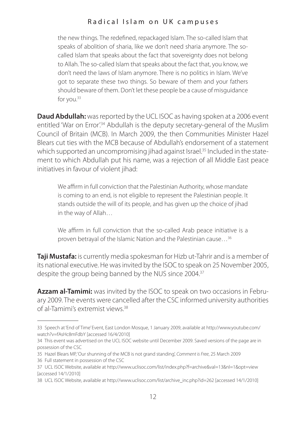the new things. The redefined, repackaged Islam. The so-called Islam that speaks of abolition of sharia, like we don't need sharia anymore. The socalled Islam that speaks about the fact that sovereignty does not belong to Allah. The so-called Islam that speaks about the fact that, you know, we don't need the laws of Islam anymore. There is no politics in Islam. We've got to separate these two things. So beware of them and your fathers should beware of them. Don't let these people be a cause of misguidance for you.33

**Daud Abdullah:** was reported by the UCL ISOC as having spoken at a 2006 event entitled 'War on Error'.<sup>34</sup> Abdullah is the deputy secretary-general of the Muslim Council of Britain (MCB). In March 2009, the then Communities Minister Hazel Blears cut ties with the MCB because of Abdullah's endorsement of a statement which supported an uncompromising jihad against Israel.<sup>35</sup> Included in the statement to which Abdullah put his name, was a rejection of all Middle East peace initiatives in favour of violent jihad:

We affirm in full conviction that the Palestinian Authority, whose mandate is coming to an end, is not eligible to represent the Palestinian people. It stands outside the will of its people, and has given up the choice of jihad in the way of Allah…

We affirm in full conviction that the so-called Arab peace initiative is a proven betrayal of the Islamic Nation and the Palestinian cause…36

**Taji Mustafa:** is currently media spokesman for Hizb ut-Tahrir and is a member of its national executive. He was invited by the ISOC to speak on 25 November 2005, despite the group being banned by the NUS since 2004.37

**Azzam al-Tamimi:** was invited by the ISOC to speak on two occasions in February 2009. The events were cancelled after the CSC informed university authorities of al-Tamimi's extremist views.38

<sup>33</sup> Speech at 'End of Time' Event, East London Mosque, 1 January 2009, available at http://www.youtube.com/ watch?v=fAsHc8mFdbY [accessed 16/4/2010]

<sup>34</sup> This event was advertised on the UCL ISOC website until December 2009. Saved versions of the page are in possession of the CSC

<sup>35</sup> Hazel Blears MP, 'Our shunning of the MCB is not grand standing', *Comment is Free*, 25 March 2009

<sup>36</sup> Full statement in possession of the CSC

<sup>37</sup> UCL ISOC Website, available at http://www.uclisoc.com/list/index.php?f=archive&val=13&nl=1&opt=view [accessed 14/1/2010]

<sup>38</sup> UCL ISOC Website, available at http://www.uclisoc.com/list/archive\_inc.php?id=262 [accessed 14/1/2010]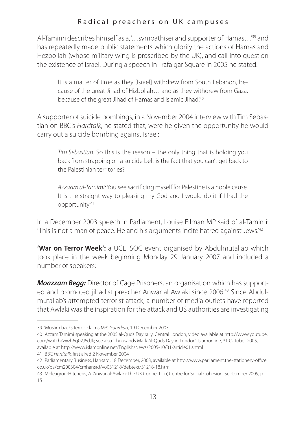Al-Tamimi describes himself as a, '…sympathiser and supporter of Hamas…'39 and has repeatedly made public statements which glorify the actions of Hamas and Hezbollah (whose military wing is proscribed by the UK), and call into question the existence of Israel. During a speech in Trafalgar Square in 2005 he stated:

It is a matter of time as they [Israel] withdrew from South Lebanon, because of the great Jihad of Hizbollah… and as they withdrew from Gaza, because of the great Jihad of Hamas and Islamic Jihad!<sup>40</sup>

A supporter of suicide bombings, in a November 2004 interview with Tim Sebastian on BBC's *Hardtalk*, he stated that, were he given the opportunity he would carry out a suicide bombing against Israel:

*Tim Sebastian:* So this is the reason – the only thing that is holding you back from strapping on a suicide belt is the fact that you can't get back to the Palestinian territories?

*Azzaam al-Tamimi:* You see sacrificing myself for Palestine is a noble cause. It is the straight way to pleasing my God and I would do it if I had the opportunity.41

In a December 2003 speech in Parliament, Louise Ellman MP said of al-Tamimi: 'This is not a man of peace. He and his arguments incite hatred against Jews.'42

**'War on Terror Week':** a UCL ISOC event organised by Abdulmutallab which took place in the week beginning Monday 29 January 2007 and included a number of speakers:

*Moazzam Begg:* Director of Cage Prisoners, an organisation which has supported and promoted jihadist preacher Anwar al Awlaki since 2006.<sup>43</sup> Since Abdulmutallab's attempted terrorist attack, a number of media outlets have reported that Awlaki was the inspiration for the attack and US authorities are investigating

<sup>39</sup> 'Muslim backs terror, claims MP', *Guardian*, 19 December 2003

<sup>40</sup> Azzam Tamimi speaking at the 2005 al-Quds Day rally, Central London, video available at http://www.youtube. com/watch?v=zh6q02J6dJk; see also 'Thousands Mark Al-Quds Day in London', Islamonline, 31 October 2005, available at http://www.islamonline.net/English/News/2005-10/31/article01.shtml

<sup>41</sup> BBC *Hardtalk*, first aired 2 November 2004

<sup>42</sup> Parliamentary Business, Hansard, 18 December, 2003, available at http://www.parliament.the-stationery-office. co.uk/pa/cm200304/cmhansrd/vo031218/debtext/31218-18.htm

<sup>43</sup> Meleagrou-Hitchens, A. 'Anwar al-Awlaki: The UK Connection', Centre for Social Cohesion, September 2009, p. 15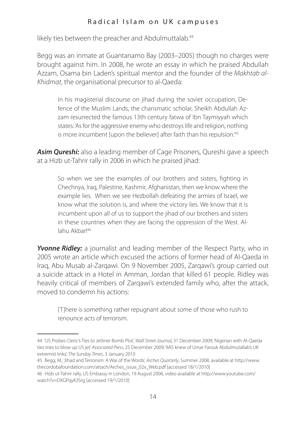likely ties between the preacher and Abdulmuttalab.<sup>44</sup>

Begg was an inmate at Guantanamo Bay (2003–2005) though no charges were brought against him. In 2008, he wrote an essay in which he praised Abdullah Azzam, Osama bin Laden's spiritual mentor and the founder of the *Makhtab al-Khidmat*, the organisational precursor to al-Qaeda:

In his magisterial discourse on jihad during the soviet occupation, Defence of the Muslim Lands, the charismatic scholar, Sheikh Abdullah Azzam resurrected the famous 13th century fatwa of Ibn Taymiyyah which states: 'As for the aggressive enemy who destroys life and religion, nothing is more incumbent fupon the believer] after faith than his repulsion<sup>145</sup>

**Asim Qureshi:** also a leading member of Cage Prisoners, Qureshi gave a speech at a Hizb ut-Tahrir rally in 2006 in which he praised jihad:

So when we see the examples of our brothers and sisters, fighting in Chechnya, Iraq, Palestine, Kashmir, Afghanistan, then we know where the example lies. When we see Hezbollah defeating the armies of Israel, we know what the solution is, and where the victory lies. We know that it is incumbent upon all of us to support the jihad of our brothers and sisters in these countries when they are facing the oppression of the West. Allahu Akbar!46

*Yvonne Ridley:* a journalist and leading member of the Respect Party, who in 2005 wrote an article which excused the actions of former head of Al-Qaeda in Iraq, Abu Musab al-Zarqawi. On 9 November 2005, Zarqawi's group carried out a suicide attack in a Hotel in Amman, Jordan that killed 61 people. Ridley was heavily critical of members of Zargawi's extended family who, after the attack, moved to condemn his actions:

[T]here is something rather repugnant about some of those who rush to renounce acts of terrorism.

<sup>44</sup> 'US Probes Cleric's Ties to Jetliner Bomb Plot', *Wall Street Journal,* 31 December 2009; 'Nigerian with Al-Qaeda ties tries to blow up US jet' *Associated Press*, 25 December 2009; 'MI5 knew of Umar Farouk Abdulmutallab's UK extremist links', *The Sunday Times*, 3 January 2010

<sup>45</sup> Begg, M., 'Jihad and Terrorism: A War of the Words', *Arches Quarterly*, Summer 2008, available at http://www. thecordobafoundation.com/attach/Arches\_issue\_02x\_Web.pdf [accessed 18/1/2010]

<sup>46</sup> Hizb ut-Tahrir rally, US Embassy in London, 19 August 2006, video available at http://www.youtube.com/ watch?v=DXGPqyK3Srg [accessed 19/1/2010]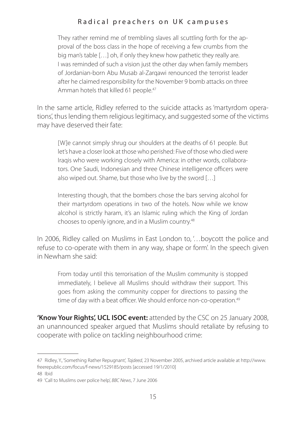They rather remind me of trembling slaves all scuttling forth for the approval of the boss class in the hope of receiving a few crumbs from the big man's table […] oh, if only they knew how pathetic they really are. I was reminded of such a vision just the other day when family members of Jordanian-born Abu Musab al-Zarqawi renounced the terrorist leader after he claimed responsibility for the November 9 bomb attacks on three Amman hotels that killed 61 people.<sup>47</sup>

In the same article, Ridley referred to the suicide attacks as 'martyrdom operations', thus lending them religious legitimacy, and suggested some of the victims may have deserved their fate:

[W]e cannot simply shrug our shoulders at the deaths of 61 people. But let's have a closer look at those who perished: Five of those who died were Iraqis who were working closely with America: in other words, collaborators. One Saudi, Indonesian and three Chinese intelligence officers were also wiped out. Shame, but those who live by the sword […]

Interesting though, that the bombers chose the bars serving alcohol for their martyrdom operations in two of the hotels. Now while we know alcohol is strictly haram, it's an Islamic ruling which the King of Jordan chooses to openly ignore, and in a Muslim country.<sup>48</sup>

In 2006, Ridley called on Muslims in East London to, '... boycott the police and refuse to co-operate with them in any way, shape or form'. In the speech given in Newham she said:

From today until this terrorisation of the Muslim community is stopped immediately, I believe all Muslims should withdraw their support. This goes from asking the community copper for directions to passing the time of day with a beat officer. We should enforce non-co-operation.<sup>49</sup>

**'Know Your Rights', UCL ISOC event:** attended by the CSC on 25 January 2008, an unannounced speaker argued that Muslims should retaliate by refusing to cooperate with police on tackling neighbourhood crime:

<sup>47</sup> Ridley, Y., 'Something Rather Repugnant', *Tajdeed*, 23 November 2005, archived article available at http://www. freerepublic.com/focus/f-news/1529185/posts [accessed 19/1/2010] 48 Ibid

<sup>49</sup> 'Call to Muslims over police help', *BBC News*, 7 June 2006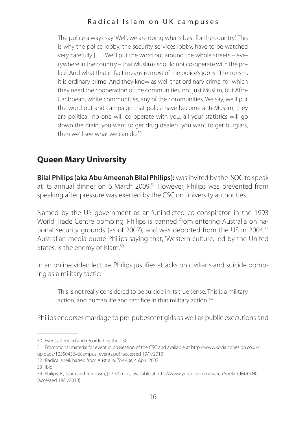The police always say 'Well, we are doing what's best for the country'. This is why the police lobby, the security services lobby, have to be watched very carefully […] We'll put the word out around the whole streets – everywhere in the country – that Muslims should not co-operate with the police. And what that in fact means is, most of the police's job isn't terrorism, it is ordinary crime. And they know as well that ordinary crime, for which they need the cooperation of the communities, not just Muslim, but Afro-Caribbean, white communities, any of the communities. We say, we'll put the word out and campaign that police have become anti-Muslim, they are political, no one will co-operate with you, all your statistics will go down the drain, you want to get drug dealers, you want to get burglars, then we'll see what we can do.<sup>50</sup>

# **Queen Mary University**

**Bilal Philips (aka Abu Ameenah Bilal Philips):** was invited by the ISOC to speak at its annual dinner on 6 March 2009.<sup>51</sup> However, Philips was prevented from speaking after pressure was exerted by the CSC on university authorities.

Named by the US government as an 'unindicted co-conspirator' in the 1993 World Trade Centre bombing, Philips is banned from entering Australia on national security grounds (as of 2007), and was deported from the US in 2004.<sup>52</sup> Australian media quote Philips saying that, 'Western culture, led by the United States, is the enemy of Islam<sup>'53</sup>

In an online video lecture Philips justifies attacks on civilians and suicide bombing as a military tactic:

This is not really considered to be suicide in its true sense. This is a military action; and human life and sacrifice in that military action. 54

Philips endorses marriage to pre-pubescent girls as well as public executions and

<sup>50</sup> Event attended and recorded by the CSC.

<sup>51</sup> Promotional material for event in possession of the CSC and available at http://www.socialcohesion.co.uk/ uploads/1235043646campus\_events.pdf [accessed 19/1/2010]

<sup>52</sup> 'Radical sheik barred from Australia', *The Age*, 4 April 2007

<sup>53</sup> Ibid

<sup>54</sup> Philips, B., 'Islam and Terrorism', [17.30 mins] available at http://www.youtube.com/watch?v=BzTcJMz0xN0 [accessed 19/1/2010]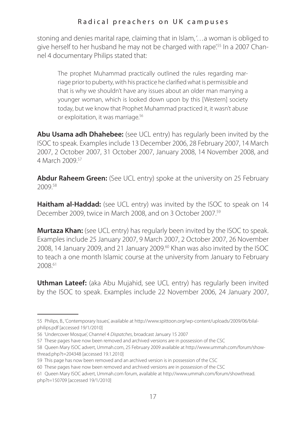stoning and denies marital rape, claiming that in Islam, '…a woman is obliged to give herself to her husband he may not be charged with rape'.55 In a 2007 Channel 4 documentary Philips stated that:

The prophet Muhammad practically outlined the rules regarding marriage prior to puberty, with his practice he clarified what is permissible and that is why we shouldn't have any issues about an older man marrying a younger woman, which is looked down upon by this [Western] society today, but we know that Prophet Muhammad practiced it, it wasn't abuse or exploitation, it was marriage.56

**Abu Usama adh Dhahebee:** (see UCL entry) has regularly been invited by the ISOC to speak. Examples include 13 December 2006, 28 February 2007, 14 March 2007, 2 October 2007, 31 October 2007, January 2008, 14 November 2008, and 4 March 2009.57

**Abdur Raheem Green:** (See UCL entry) spoke at the university on 25 February 2009.58

**Haitham al-Haddad:** (see UCL entry) was invited by the ISOC to speak on 14 December 2009, twice in March 2008, and on 3 October 2007.59

**Murtaza Khan:** (see UCL entry) has regularly been invited by the ISOC to speak. Examples include 25 January 2007, 9 March 2007, 2 October 2007, 26 November 2008, 14 January 2009, and 21 January 2009.60 Khan was also invited by the ISOC to teach a one month Islamic course at the university from January to February 2008.61

**Uthman Lateef:** (aka Abu Mujahid, see UCL entry) has regularly been invited by the ISOC to speak. Examples include 22 November 2006, 24 January 2007,

<sup>55</sup> Philips, B., 'Contemporary Issues', available at http://www.spittoon.org/wp-content/uploads/2009/06/bilalphilips.pdf [accessed 19/1/2010]

<sup>56</sup> 'Undercover Mosque', Channel 4 *Dispatches*, broadcast January 15 2007

<sup>57</sup> These pages have now been removed and archived versions are in possession of the CSC

<sup>58</sup> Queen Mary ISOC advert, Ummah.com, 25 February 2009 available at http://www.ummah.com/forum/showthread.php?t=204348 [accessed 19.1.2010]

<sup>59</sup> This page has now been removed and an archived version is in possession of the CSC

<sup>60</sup> These pages have now been removed and archived versions are in possession of the CSC

<sup>61</sup> Queen Mary ISOC advert, Ummah.com forum, available at http://www.ummah.com/forum/showthread. php?t=150709 [accessed 19/1/2010]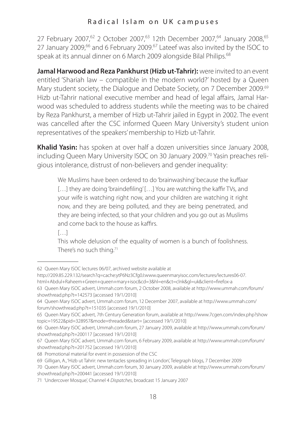27 February 2007,<sup>62</sup> 2 October 2007,<sup>63</sup> 12th December 2007,<sup>64</sup> January 2008,<sup>65</sup> 27 January 2009,<sup>66</sup> and 6 February 2009.<sup>67</sup> Lateef was also invited by the ISOC to speak at its annual dinner on 6 March 2009 alongside Bilal Philips.68

**Jamal Harwood and Reza Pankhurst (Hizb ut-Tahrir):** were invited to an event entitled 'Shariah law – compatible in the modern world?' hosted by a Queen Mary student society, the Dialogue and Debate Society, on 7 December 2009.<sup>69</sup> Hizb ut-Tahrir national executive member and head of legal affairs, Jamal Harwood was scheduled to address students while the meeting was to be chaired by Reza Pankhurst, a member of Hizb ut-Tahrir jailed in Egypt in 2002. The event was cancelled after the CSC informed Queen Mary University's student union representatives of the speakers' membership to Hizb ut-Tahrir.

**Khalid Yasin:** has spoken at over half a dozen universities since January 2008, including Queen Mary University ISOC on 30 January 2009.<sup>70</sup> Yasin preaches religious intolerance, distrust of non-believers and gender inequality:

We Muslims have been ordered to do 'brainwashing' because the kuffaar [...] they are doing 'braindefiling' [...] You are watching the kaffir TVs, and your wife is watching right now, and your children are watching it right now, and they are being polluted, and they are being penetrated, and they are being infected, so that your children and you go out as Muslims and come back to the house as kaffirs.

 $[$   $]$ 

This whole delusion of the equality of women is a bunch of foolishness. There's no such thing.<sup>71</sup>

<sup>62</sup> Queen Mary ISOC lectures 06/07, archived website available at

http://209.85.229.132/search?q=cache:ytP6Nz3Cfg0J:www.queenmaryisoc.com/lectures/lectures06-07.

html+Abdul+Raheem+Green+queen+mary+isoc&cd=3&hl=en&ct=clnk&gl=uk&client=firefox-a

<sup>63</sup> Queen Mary ISOC advert, Ummah.com forum, 2 October 2008, available at http://www.ummah.com/forum/ showthread.php?t=142573 [accessed 19/1/2010]

<sup>64</sup> Queen Mary ISOC advert, Ummah.com forum, 12 December 2007, available at http://www.ummah.com/ forum/showthread.php?t=151035 [accessed 19/1/2010]

<sup>65</sup> Queen Mary ISOC advert, 7th Century Generation forum, available at http://www.7cgen.com/index.php?show topic=19522&pid=328957&mode=threaded&start= [accessed 19/1/2010]

<sup>66</sup> Queen Mary ISOC advert, Ummah.com forum, 27 January 2009, available at http://www.ummah.com/forum/ showthread.php?t=200117 [accessed 19/1/2010]

<sup>67</sup> Queen Mary ISOC advert, Ummah.com forum, 6 February 2009, available at http://www.ummah.com/forum/ showthread.php?t=201752 [accessed 19/1/2010]

<sup>68</sup> Promotional material for event in possession of the CSC

<sup>69</sup> Gilligan, A., 'Hizb ut Tahrir: new tentacles spreading in London', Telegraph blogs, 7 December 2009

<sup>70</sup> Queen Mary ISOC advert, Ummah.com forum, 30 January 2009, available at http://www.ummah.com/forum/ showthread.php?t=200441 [accessed 19/1/2010]

<sup>71</sup> 'Undercover Mosque', Channel 4 *Dispatches*, broadcast 15 January 2007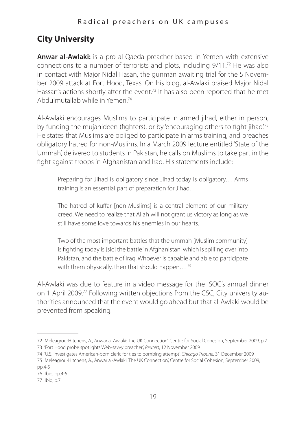# **City University**

**Anwar al-Awlaki:** is a pro al-Qaeda preacher based in Yemen with extensive connections to a number of terrorists and plots, including 9/11.72 He was also in contact with Major Nidal Hasan, the gunman awaiting trial for the 5 November 2009 attack at Fort Hood, Texas. On his blog, al-Awlaki praised Major Nidal Hassan's actions shortly after the event.<sup>73</sup> It has also been reported that he met Abdulmutallab while in Yemen.74

Al-Awlaki encourages Muslims to participate in armed jihad, either in person, by funding the mujahideen (fighters), or by 'encouraging others to fight jihad'.75 He states that Muslims are obliged to participate in arms training, and preaches obligatory hatred for non-Muslims. In a March 2009 lecture entitled 'State of the Ummah', delivered to students in Pakistan, he calls on Muslims to take part in the fight against troops in Afghanistan and Iraq. His statements include:

Preparing for Jihad is obligatory since Jihad today is obligatory… Arms training is an essential part of preparation for Jihad.

The hatred of kuffar [non-Muslims] is a central element of our military creed. We need to realize that Allah will not grant us victory as long as we still have some love towards his enemies in our hearts.

Two of the most important battles that the ummah [Muslim community] is fighting today is [sic] the battle in Afghanistan, which is spilling over into Pakistan, and the battle of Iraq. Whoever is capable and able to participate with them physically, then that should happen...<sup>76</sup>

Al-Awlaki was due to feature in a video message for the ISOC's annual dinner on 1 April 2009.77 Following written objections from the CSC, City university authorities announced that the event would go ahead but that al-Awlaki would be prevented from speaking.

<sup>72</sup> Meleagrou-Hitchens, A., 'Anwar al Awlaki: The UK Connection', Centre for Social Cohesion, September 2009, p.2 73 'Fort Hood probe spotlights Web-savvy preacher', *Reuters*, 12 November 2009

<sup>74</sup> 'U.S. investigates American-born cleric for ties to bombing attempt', *Chicago Tribune*, 31 December 2009

<sup>75</sup> Meleagrou-Hitchens, A., 'Anwar al-Awlaki: The UK Connection', Centre for Social Cohesion, September 2009, pp.4-5

<sup>76</sup> Ibid, pp.4-5

<sup>77</sup> Ibid, p.7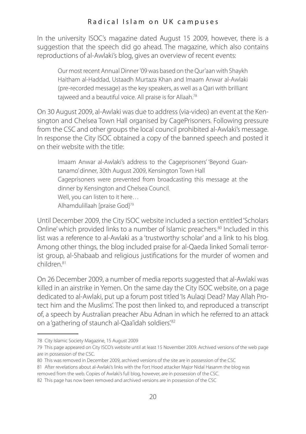In the university ISOC's magazine dated August 15 2009, however, there is a suggestion that the speech did go ahead. The magazine, which also contains reproductions of al-Awlaki's blog, gives an overview of recent events:

Our most recent Annual Dinner '09 was based on the Qur'aan with Shaykh Haitham al-Haddad, Ustaadh Murtaza Khan and Imaam Anwar al-Awlaki (pre-recorded message) as the key speakers, as well as a Qari with brilliant tajweed and a beautiful voice. All praise is for Allaah.78

On 30 August 2009, al-Awlaki was due to address (via-video) an event at the Kensington and Chelsea Town Hall organised by CagePrisoners. Following pressure from the CSC and other groups the local council prohibited al-Awlaki's message. In response the City ISOC obtained a copy of the banned speech and posted it on their website with the title:

Imaam Anwar al-Awlaki's address to the Cageprisoners' 'Beyond Guantanamo' dinner, 30th August 2009, Kensington Town Hall Cageprisoners were prevented from broadcasting this message at the dinner by Kensington and Chelsea Council. Well, you can listen to it here… Alhamdulillaah [praise God]79

Until December 2009, the City ISOC website included a section entitled 'Scholars Online' which provided links to a number of Islamic preachers.80 Included in this list was a reference to al-Awlaki as a 'trustworthy scholar' and a link to his blog. Among other things, the blog included praise for al-Qaeda linked Somali terrorist group, al-Shabaab and religious justifications for the murder of women and children.<sup>81</sup>

On 26 December 2009, a number of media reports suggested that al-Awlaki was killed in an airstrike in Yemen. On the same day the City ISOC website, on a page dedicated to al-Awlaki, put up a forum post titled 'Is Aulaqi Dead? May Allah Protect him and the Muslims'. The post then linked to, and reproduced a transcript of, a speech by Australian preacher Abu Adnan in which he referred to an attack on a 'gathering of staunch al-Qaa'idah soldiers'.82

<sup>78</sup> City Islamic Society Magazine, 15 August 2009

<sup>79</sup> This page appeared on City ISCO's website until at least 15 November 2009. Archived versions of the web page are in possession of the CSC.

<sup>80</sup> This was removed in December 2009, archived versions of the site are in possession of the CSC

<sup>81</sup> After revelations about al-Awlaki's links with the Fort Hood attacker Major Nidal Hasanm the blog was removed from the web. Copies of Awlaki's full blog, however, are in possession of the CSC.

<sup>82</sup> This page has now been removed and archived versions are in possession of the CSC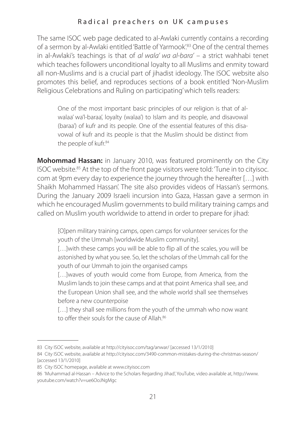The same ISOC web page dedicated to al-Awlaki currently contains a recording of a sermon by al-Awlaki entitled 'Battle of Yarmook'.83 One of the central themes in al-Awlaki's teachings is that of *al wala' wa al-bara'* – a strict wahhabi tenet which teaches followers unconditional loyalty to all Muslims and enmity toward all non-Muslims and is a crucial part of jihadist ideology. The ISOC website also promotes this belief, and reproduces sections of a book entitled 'Non-Muslim Religious Celebrations and Ruling on participating' which tells readers:

One of the most important basic principles of our religion is that of alwalaa' wa'l-baraa', loyalty (walaa') to Islam and its people, and disavowal (baraa') of kufr and its people. One of the essential features of this disavowal of kufr and its people is that the Muslim should be distinct from the people of kufr<sup>84</sup>

**Mohommad Hassan:** in January 2010, was featured prominently on the City ISOC website.85 At the top of the front page visitors were told: 'Tune in to cityisoc. com at 9pm every day to experience the journey through the hereafter […] with Shaikh Mohammed Hassan'. The site also provides videos of Hassan's sermons. During the January 2009 Israeli incursion into Gaza, Hassan gave a sermon in which he encouraged Muslim governments to build military training camps and called on Muslim youth worldwide to attend in order to prepare for jihad:

[O]pen military training camps, open camps for volunteer services for the youth of the Ummah [worldwide Muslim community].

[...] with these camps you will be able to flip all of the scales, you will be astonished by what you see. So, let the scholars of the Ummah call for the youth of our Ummah to join the organised camps

[...]waves of youth would come from Europe, from America, from the Muslim lands to join these camps and at that point America shall see, and the European Union shall see, and the whole world shall see themselves before a new counterpoise

[...] they shall see millions from the youth of the ummah who now want to offer their souls for the cause of Allah.<sup>86</sup>

<sup>83</sup> City ISOC website, available at http://cityisoc.com/tag/anwar/ [accessed 13/1/2010]

<sup>84</sup> City ISOC website, available at http://cityisoc.com/3490-common-mistakes-during-the-christmas-season/ [accessed 13/1/2010]

<sup>85</sup> City ISOC homepage, available at www.cityisoc.com

<sup>86</sup> 'Muhammad al-Hassan – Advice to the Scholars Regarding Jihad', YouTube, video available at, http://www. youtube.com/watch?v=ue6OoJNgMgc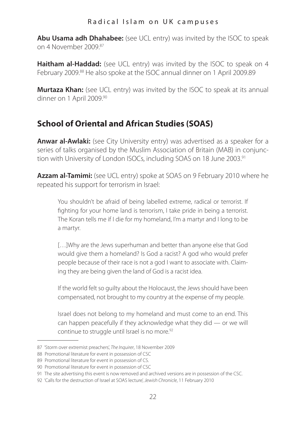**Abu Usama adh Dhahabee:** (see UCL entry) was invited by the ISOC to speak on 4 November 2009.87

**Haitham al-Haddad:** (see UCL entry) was invited by the ISOC to speak on 4 February 2009.88 He also spoke at the ISOC annual dinner on 1 April 2009.89

**Murtaza Khan:** (see UCL entry) was invited by the ISOC to speak at its annual dinner on 1 April 2009.90

## **School of Oriental and African Studies (SOAS)**

**Anwar al-Awlaki:** (see City University entry) was advertised as a speaker for a series of talks organised by the Muslim Association of Britain (MAB) in conjunction with University of London ISOCs, including SOAS on 18 June 2003.<sup>91</sup>

**Azzam al-Tamimi:** (see UCL entry) spoke at SOAS on 9 February 2010 where he repeated his support for terrorism in Israel:

You shouldn't be afraid of being labelled extreme, radical or terrorist. If fighting for your home land is terrorism, I take pride in being a terrorist. The Koran tells me if I die for my homeland, I'm a martyr and I long to be a martyr.

[…]Why are the Jews superhuman and better than anyone else that God would give them a homeland? Is God a racist? A god who would prefer people because of their race is not a god I want to associate with. Claiming they are being given the land of God is a racist idea.

If the world felt so guilty about the Holocaust, the Jews should have been compensated, not brought to my country at the expense of my people.

Israel does not belong to my homeland and must come to an end. This can happen peacefully if they acknowledge what they did — or we will continue to struggle until Israel is no more.<sup>92</sup>

<sup>87</sup> 'Storm over extremist preachers', *The Inquirer*, 18 November 2009

<sup>88</sup> Promotional literature for event in possession of CSC

<sup>89</sup> Promotional literature for event in possession of CS.

<sup>90</sup> Promotional literature for event in possession of CSC

<sup>91</sup> The site advertising this event is now removed and archived versions are in possession of the CSC.

<sup>92</sup> 'Calls for the destruction of Israel at SOAS lecture', *Jewish Chronicle*, 11 February 2010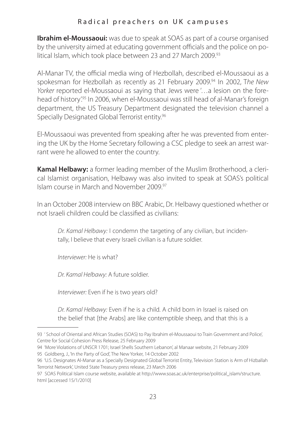**Ibrahim el-Moussaoui:** was due to speak at SOAS as part of a course organised by the university aimed at educating government officials and the police on political Islam, which took place between 23 and 27 March 2009.<sup>93</sup>

Al-Manar TV, the official media wing of Hezbollah, described el-Moussaoui as a spokesman for Hezbollah as recently as 21 February 2009.94 In 2002, T*he New Yorker* reported el-Moussaoui as saying that Jews were '…a lesion on the forehead of history<sup>'95</sup> In 2006, when el-Moussaoui was still head of al-Manar's foreign department, the US Treasury Department designated the television channel a Specially Designated Global Terrorist entity.<sup>96</sup>

El-Moussaoui was prevented from speaking after he was prevented from entering the UK by the Home Secretary following a CSC pledge to seek an arrest warrant were he allowed to enter the country.

**Kamal Helbawy:** a former leading member of the Muslim Brotherhood, a clerical Islamist organisation, Helbawy was also invited to speak at SOAS's political Islam course in March and November 2009<sup>97</sup>

In an October 2008 interview on BBC Arabic, Dr. Helbawy questioned whether or not Israeli children could be classified as civilians:

*Dr. Kamal Helbawy:* I condemn the targeting of any civilian, but incidentally, I believe that every Israeli civilian is a future soldier.

*Interviewer:* He is what?

*Dr. Kamal Helbawy:* A future soldier.

*Interviewer:* Even if he is two years old?

*Dr. Kamal Helbawy:* Even if he is a child. A child born in Israel is raised on the belief that [the Arabs] are like contemptible sheep, and that this is a

95 Goldberg, J., 'In the Party of God', The New Yorker, 14 October 2002

<sup>93</sup> ' School of Oriental and African Studies (SOAS) to Pay Ibrahim el-Moussaoui to Train Government and Police', Centre for Social Cohesion Press Release, 25 February 2009

<sup>94</sup> 'More Violations of UNSCR 1701; Israel Shells Southern Lebanon', al Manaar website, 21 February 2009

<sup>96</sup> 'U.S. Designates Al-Manar as a Specially Designated Global Terrorist Entity, Television Station is Arm of Hizballah Terrorist Network', United State Treasury press release, 23 March 2006

<sup>97</sup> SOAS Political Islam course website, available at http://www.soas.ac.uk/enterprise/political\_islam/structure. html [accessed 15/1/2010]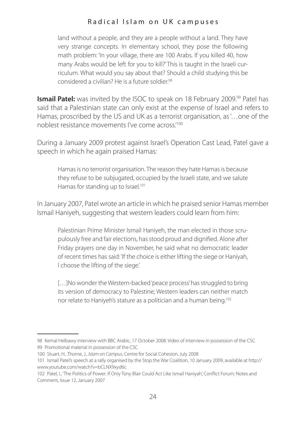land without a people, and they are a people without a land. They have very strange concepts. In elementary school, they pose the following math problem: 'In your village, there are 100 Arabs. If you killed 40, how many Arabs would be left for you to kill?' This is taught in the Israeli curriculum. What would you say about that? Should a child studying this be considered a civilian? He is a future soldier<sup>98</sup>

**Ismail Patel:** was invited by the ISOC to speak on 18 February 2009.<sup>99</sup> Patel has said that a Palestinian state can only exist at the expense of Israel and refers to Hamas, proscribed by the US and UK as a terrorist organisation, as '…one of the noblest resistance movements I've come across<sup>'100</sup>

During a January 2009 protest against Israel's Operation Cast Lead, Patel gave a speech in which he again praised Hamas:

Hamas is no terrorist organisation. The reason they hate Hamas is because they refuse to be subjugated, occupied by the Israeli state, and we salute Hamas for standing up to Israel.<sup>101</sup>

In January 2007, Patel wrote an article in which he praised senior Hamas member Ismail Haniyeh, suggesting that western leaders could learn from him:

Palestinian Prime Minister Ismail Haniyeh, the man elected in those scrupulously free and fair elections, has stood proud and dignified. Alone after Friday prayers one day in November, he said what no democratic leader of recent times has said: 'If the choice is either lifting the siege or Haniyah, I choose the lifting of the siege.'

[...] No wonder the Western-backed 'peace process' has struggled to bring its version of democracy to Palestine; Western leaders can neither match nor relate to Haniyeh's stature as a politician and a human being.102

<sup>98</sup> Kemal Helbawy interview with BBC Arabic, 17 October 2008. Video of interview in possession of the CSC 99 Promotional material in possession of the CSC

<sup>100</sup> Stuart, H., Thorne, J., *Islam on Campus*, Centre for Social Cohesion, July 2008

<sup>101</sup> Ismail Patel's speech at a rally organised by the Stop the War Coalition, 10 January 2009, available at http:// www.youtube.com/watch?v=bCLNX9xyd6c

<sup>102</sup> Patel, I., 'The Politics of Power: If Only Tony Blair Could Act Like Ismail Haniyah', Conflict Forum: Notes and Comment, Issue 12, January 2007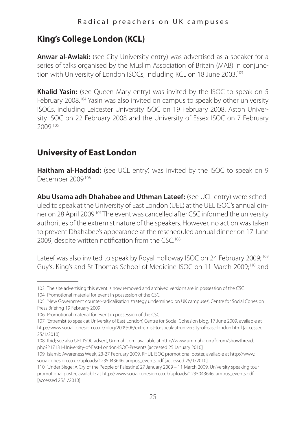# **King's College London (KCL)**

**Anwar al-Awlaki:** (see City University entry) was advertised as a speaker for a series of talks organised by the Muslim Association of Britain (MAB) in conjunction with University of London ISOCs, including KCL on 18 June 2003.<sup>103</sup>

**Khalid Yasin:** (see Queen Mary entry) was invited by the ISOC to speak on 5 February 2008.<sup>104</sup> Yasin was also invited on campus to speak by other university ISOCs, including Leicester University ISOC on 19 February 2008, Aston University ISOC on 22 February 2008 and the University of Essex ISOC on 7 February 2009.105

# **University of East London**

**Haitham al-Haddad:** (see UCL entry) was invited by the ISOC to speak on 9 December 2009.106

**Abu Usama adh Dhahabee and Uthman Lateef:** (see UCL entry) were scheduled to speak at the University of East London (UEL) at the UEL ISOC's annual dinner on 28 April 2009.107 The event was cancelled after CSC informed the university authorities of the extremist nature of the speakers. However, no action was taken to prevent Dhahabee's appearance at the rescheduled annual dinner on 17 June 2009, despite written notification from the CSC.<sup>108</sup>

Lateef was also invited to speak by Royal Holloway ISOC on 24 February 2009;<sup>109</sup> Guy's, King's and St Thomas School of Medicine ISOC on 11 March 2009;110 and

104 Promotional material for event in possession of the CSC

<sup>103</sup> The site advertising this event is now removed and archived versions are in possession of the CSC

<sup>105</sup> 'New Government counter-radicalisation strategy undermined on UK campuses', Centre for Social Cohesion Press Briefing 19 February 2009

<sup>106</sup> Promotional material for event in possession of the CSC

<sup>107</sup> 'Extremist to speak at University of East London', Centre for Social Cohesion blog, 17 June 2009, available at http://www.socialcohesion.co.uk/blog/2009/06/extremist-to-speak-at-university-of-east-london.html [accessed 25/1/2010]

<sup>108</sup> Ibid; see also UEL ISOC advert, Ummah.com, available at http://www.ummah.com/forum/showthread. php?217131-University-of-East-London-ISOC-Presents [accessed 25 January 2010]

<sup>109</sup> Islamic Awareness Week, 23-27 February 2009, RHUL ISOC promotional poster, available at http://www. socialcohesion.co.uk/uploads/1235043646campus\_events.pdf [accessed 25/1/2010]

<sup>110</sup> 'Under Siege: A Cry of the People of Palestine', 27 January 2009 – 11 March 2009, University speaking tour promotional poster, available at http://www.socialcohesion.co.uk/uploads/1235043646campus\_events.pdf [accessed 25/1/2010]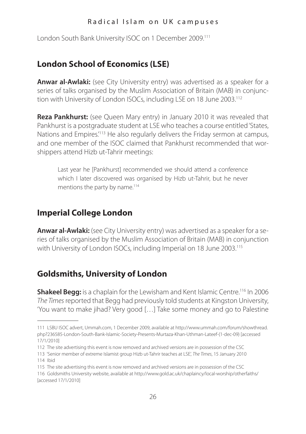London South Bank University ISOC on 1 December 2009.111

### **London School of Economics (LSE)**

**Anwar al-Awlaki:** (see City University entry) was advertised as a speaker for a series of talks organised by the Muslim Association of Britain (MAB) in conjunction with University of London ISOCs, including LSE on 18 June 2003.<sup>112</sup>

**Reza Pankhurst:** (see Queen Mary entry) in January 2010 it was revealed that Pankhurst is a postgraduate student at LSE who teaches a course entitled 'States, Nations and Empires.<sup>'113</sup> He also regularly delivers the Friday sermon at campus, and one member of the ISOC claimed that Pankhurst recommended that worshippers attend Hizb ut-Tahrir meetings:

Last year he [Pankhurst] recommended we should attend a conference which I later discovered was organised by Hizb ut-Tahrir, but he never mentions the party by name.<sup>114</sup>

#### **Imperial College London**

**Anwar al-Awlaki:** (see City University entry) was advertised as a speaker for a series of talks organised by the Muslim Association of Britain (MAB) in conjunction with University of London ISOCs, including Imperial on 18 June 2003.<sup>115</sup>

### **Goldsmiths, University of London**

**Shakeel Begg:** is a chaplain for the Lewisham and Kent Islamic Centre.<sup>116</sup> In 2006 *The Times* reported that Begg had previously told students at Kingston University, 'You want to make jihad? Very good […] Take some money and go to Palestine

112 The site advertising this event is now removed and archived versions are in possession of the CSC

<sup>111</sup> LSBU ISOC advert, Ummah.com, 1 December 2009, available at http://www.ummah.com/forum/showthread. php?236585-London-South-Bank-Islamic-Society-Presents-Murtaza-Khan-Uthman-Lateef-(1-dec-09) [accessed 17/1/2010]

<sup>113</sup> 'Senior member of extreme Islamist group Hizb ut-Tahrir teaches at LSE', *The Times*, 15 January 2010 114 Ibid

<sup>115</sup> The site advertising this event is now removed and archived versions are in possession of the CSC

<sup>116</sup> Goldsmiths University website, available at http://www.gold.ac.uk/chaplaincy/local-worship/otherfaiths/ [accessed 17/1/2010]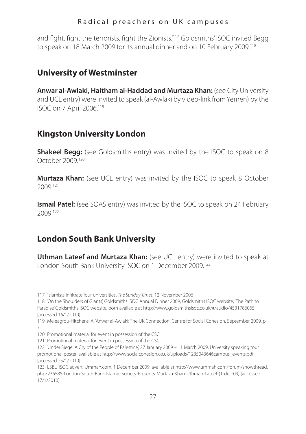and fight, fight the terrorists, fight the Zionists.<sup>'117</sup> Goldsmiths' ISOC invited Begg to speak on 18 March 2009 for its annual dinner and on 10 February 2009.<sup>118</sup>

### **University of Westminster**

**Anwar al-Awlaki, Haitham al-Haddad and Murtaza Khan:** (see City University and UCL entry) were invited to speak (al-Awlaki by video-link from Yemen) by the ISOC on 7 April 2006.119

# **Kingston University London**

**Shakeel Begg:** (see Goldsmiths entry) was invited by the ISOC to speak on 8 October 2009.120

**Murtaza Khan:** (see UCL entry) was invited by the ISOC to speak 8 October 2009.121

**Ismail Patel:** (see SOAS entry) was invited by the ISOC to speak on 24 February 2009.122

# **London South Bank University**

**Uthman Lateef and Murtaza Khan:** (see UCL entry) were invited to speak at London South Bank University ISOC on 1 December 2009.123

<sup>117</sup> 'Islamists infiltrate four universities', *The Sunday Times*, 12 November 2006

<sup>118</sup> 'On the Shoulders of Giants', Goldsmiths ISOC Annual Dinner 2009, Goldsmiths ISOC website; 'The Path to Paradise' Goldsmiths ISOC website, both available at http://www.goldsmithsisoc.co.uk/#/audio/4531786065 [accessed 16/1/2010]

<sup>119</sup> Meleagrou-Hitchens, A. 'Anwar al-Awlaki: The UK Connection', Centre for Social Cohesion, September 2009, p. 7

<sup>120</sup> Promotional material for event in possession of the CSC

<sup>121</sup> Promotional material for event in possession of the CSC

<sup>122</sup> 'Under Siege: A Cry of the People of Palestine', 27 January 2009 – 11 March 2009, University speaking tour promotional poster, available at http://www.socialcohesion.co.uk/uploads/1235043646campus\_events.pdf [accessed 25/1/2010]

<sup>123</sup> LSBU ISOC advert, Ummah.com, 1 December 2009, available at http://www.ummah.com/forum/showthread. php?236585-London-South-Bank-Islamic-Society-Presents-Murtaza-Khan-Uthman-Lateef-(1-dec-09) [accessed 17/1/2010]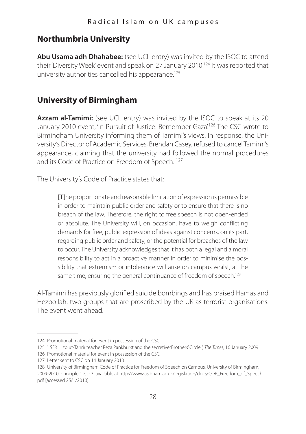# **Northumbria University**

**Abu Usama adh Dhahabee:** (see UCL entry) was invited by the ISOC to attend their 'Diversity Week' event and speak on 27 January 2010.<sup>124</sup> It was reported that university authorities cancelled his appearance.<sup>125</sup>

# **University of Birmingham**

**Azzam al-Tamimi:** (see UCL entry) was invited by the ISOC to speak at its 20 January 2010 event, 'In Pursuit of Justice: Remember Gaza'<sup>126</sup> The CSC wrote to Birmingham University informing them of Tamimi's views. In response, the University's Director of Academic Services, Brendan Casey, refused to cancel Tamimi's appearance, claiming that the university had followed the normal procedures and its Code of Practice on Freedom of Speech.<sup>127</sup>

The University's Code of Practice states that:

[T]he proportionate and reasonable limitation of expression is permissible in order to maintain public order and safety or to ensure that there is no breach of the law. Therefore, the right to free speech is not open-ended or absolute. The University will, on occasion, have to weigh conflicting demands for free, public expression of ideas against concerns, on its part, regarding public order and safety, or the potential for breaches of the law to occur. The University acknowledges that it has both a legal and a moral responsibility to act in a proactive manner in order to minimise the possibility that extremism or intolerance will arise on campus whilst, at the same time, ensuring the general continuance of freedom of speech.<sup>128</sup>

Al-Tamimi has previously glorified suicide bombings and has praised Hamas and Hezbollah, two groups that are proscribed by the UK as terrorist organisations. The event went ahead.

<sup>124</sup> Promotional material for event in possession of the CSC

<sup>125</sup> 'LSE's Hizb ut-Tahrir teacher Reza Pankhurst and the secretive 'Brothers' Circle' ', *The Times*, 16 January 2009

<sup>126</sup> Promotional material for event in possession of the CSC

<sup>127</sup> Letter sent to CSC on 14 January 2010

<sup>128</sup> University of Birmingham Code of Practice for Freedom of Speech on Campus, University of Birmingham, 2009-2010, principle 1.7, p.3, available at http://www.as.bham.ac.uk/legislation/docs/COP\_Freedom\_of\_Speech. pdf [accessed 25/1/2010]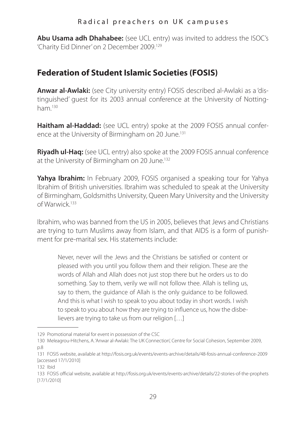**Abu Usama adh Dhahabee:** (see UCL entry) was invited to address the ISOC's 'Charity Eid Dinner' on 2 December 2009.129

### **Federation of Student Islamic Societies (FOSIS)**

**Anwar al-Awlaki:** (see City university entry) FOSIS described al-Awlaki as a 'distinguished' guest for its 2003 annual conference at the University of Nottingham<sup>130</sup>

**Haitham al-Haddad:** (see UCL entry) spoke at the 2009 FOSIS annual conference at the University of Birmingham on 20 June.<sup>131</sup>

**Riyadh ul-Haq:** (see UCL entry) also spoke at the 2009 FOSIS annual conference at the University of Birmingham on 20 June.<sup>132</sup>

**Yahya Ibrahim:** In February 2009, FOSIS organised a speaking tour for Yahya Ibrahim of British universities. Ibrahim was scheduled to speak at the University of Birmingham, Goldsmiths University, Queen Mary University and the University of Warwick.133

Ibrahim, who was banned from the US in 2005, believes that Jews and Christians are trying to turn Muslims away from Islam, and that AIDS is a form of punishment for pre-marital sex. His statements include:

Never, never will the Jews and the Christians be satisfied or content or pleased with you until you follow them and their religion. These are the words of Allah and Allah does not just stop there but he orders us to do something. Say to them, verily we will not follow thee. Allah is telling us, say to them, the quidance of Allah is the only quidance to be followed. And this is what I wish to speak to you about today in short words. I wish to speak to you about how they are trying to influence us, how the disbelievers are trying to take us from our religion […]

132 Ibid

<sup>129</sup> Promotional material for event in possession of the CSC

<sup>130</sup> Meleagrou-Hitchens, A. 'Anwar al-Awlaki: The UK Connection', Centre for Social Cohesion, September 2009, p.8

<sup>131</sup> FOSIS website, available at http://fosis.org.uk/events/events-archive/details/48-fosis-annual-conference-2009 [accessed 17/1/2010]

<sup>133</sup> FOSIS official website, available at http://fosis.org.uk/events/events-archive/details/22-stories-of-the-prophets [17/1/2010]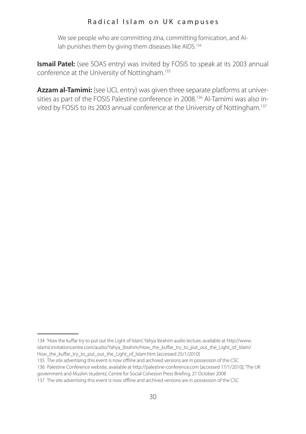We see people who are committing zina, committing fornication, and Allah punishes them by giving them diseases like AIDS.<sup>134</sup>

**Ismail Patel:** (see SOAS entry) was invited by FOSIS to speak at its 2003 annual conference at the University of Nottingham.135

**Azzam al-Tamimi:** (see UCL entry) was given three separate platforms at universities as part of the FOSIS Palestine conference in 2008.136 Al-Tamimi was also invited by FOSIS to its 2003 annual conference at the University of Nottingham.137

<sup>134</sup> 'How the kuffar try to put out the Light of Islam', Yahya Ibrahim audio lecture, available at http://www. islamicinvitationcentre.com/audio/Yahya\_Ibrahim/How\_the\_kuffar\_try\_to\_put\_out\_the\_Light\_of\_Islam/ How\_the\_kuffar\_try\_to\_put\_out\_the\_Light\_of\_Islam.htm [accessed 25/1/2010]

<sup>135</sup> The site advertising this event is now offline and archived versions are in possession of the CSC

<sup>136</sup> Palestine Conference website, available at http://palestine-conference.com [accessed 17/1/2010]; 'The UK

government and Muslim students', Centre for Social Cohesion Press Briefing, 27 October 2008

<sup>137</sup> The site advertising this event is now offline and archived versions are in possession of the CSC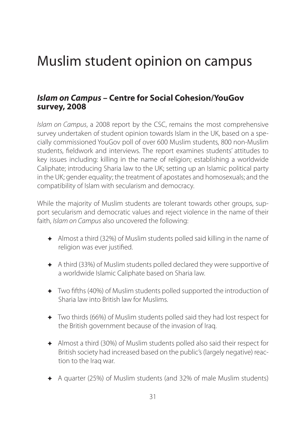# Muslim student opinion on campus

### *Islam on Campus* **– Centre for Social Cohesion/YouGov survey, 2008**

*Islam on Campus*, a 2008 report by the CSC, remains the most comprehensive survey undertaken of student opinion towards Islam in the UK, based on a specially commissioned YouGov poll of over 600 Muslim students, 800 non-Muslim students, fieldwork and interviews. The report examines students' attitudes to key issues including: killing in the name of religion; establishing a worldwide Caliphate; introducing Sharia law to the UK; setting up an Islamic political party in the UK; gender equality; the treatment of apostates and homosexuals; and the compatibility of Islam with secularism and democracy.

While the majority of Muslim students are tolerant towards other groups, support secularism and democratic values and reject violence in the name of their faith, *Islam on Campus* also uncovered the following:

- ✦ Almost a third (32%) of Muslim students polled said killing in the name of religion was ever justified.
- ✦ A third (33%) of Muslim students polled declared they were supportive of a worldwide Islamic Caliphate based on Sharia law.
- ✦ Two fifths (40%) of Muslim students polled supported the introduction of Sharia law into British law for Muslims.
- ✦ Two thirds (66%) of Muslim students polled said they had lost respect for the British government because of the invasion of Iraq.
- ✦ Almost a third (30%) of Muslim students polled also said their respect for British society had increased based on the public's (largely negative) reaction to the Iraq war.
- ✦ A quarter (25%) of Muslim students (and 32% of male Muslim students)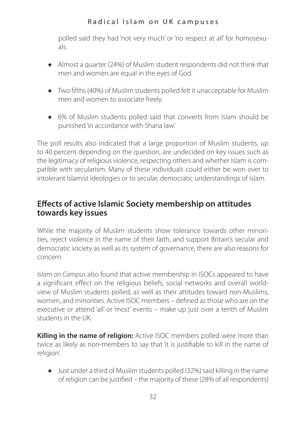polled said they had 'not very much' or 'no respect at all' for homosexuals.

- ✦ Almost a quarter (24%) of Muslim student respondents did not think that men and women are equal in the eyes of God.
- ✦ Two fifths (40%) of Muslim students polled felt it unacceptable for Muslim men and women to associate freely.
- ✦ 6% of Muslim students polled said that converts from Islam should be punished 'in accordance with Sharia law.'

The poll results also indicated that a large proportion of Muslim students, up to 40 percent depending on the question, are undecided on key issues such as the legitimacy of religious violence, respecting others and whether Islam is compatible with secularism. Many of these individuals could either be won over to intolerant Islamist ideologies or to secular, democratic understandings of Islam.

### **Effects of active Islamic Society membership on attitudes towards key issues**

While the majority of Muslim students show tolerance towards other minorities, reject violence in the name of their faith, and support Britain's secular and democratic society as well as its system of governance, there are also reasons for concern.

*Islam on Campus* also found that active membership in ISOCs appeared to have a significant effect on the religious beliefs, social networks and overall worldview of Muslim students polled, as well as their attitudes toward non-Muslims, women, and minorities. Active ISOC members – defined as those who are on the executive or attend 'all' or 'most' events – make up just over a tenth of Muslim students in the UK.

**Killing in the name of religion:** Active ISOC members polled were more than twice as likely as non-members to say that 'it is justifiable to kill in the name of religion'.

✦ Just under a third of Muslim students polled (32%) said killing in the name of religion can be justified – the majority of these (28% of all respondents)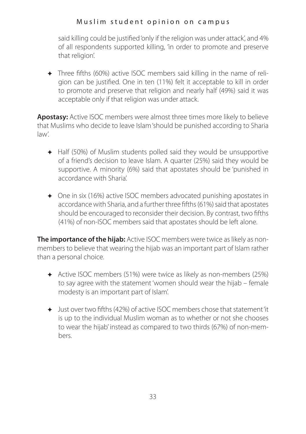#### M uslim student opinion on campus

said killing could be justified 'only if the religion was under attack', and 4% of all respondents supported killing, 'in order to promote and preserve that religion'.

✦ Three fifths (60%) active ISOC members said killing in the name of religion can be justified. One in ten (11%) felt it acceptable to kill in order to promote and preserve that religion and nearly half (49%) said it was acceptable only if that religion was under attack.

**Apostasy:** Active ISOC members were almost three times more likely to believe that Muslims who decide to leave Islam 'should be punished according to Sharia law'.

- ✦ Half (50%) of Muslim students polled said they would be unsupportive of a friend's decision to leave Islam. A quarter (25%) said they would be supportive. A minority (6%) said that apostates should be 'punished in accordance with Sharia'.
- ✦ One in six (16%) active ISOC members advocated punishing apostates in accordance with Sharia, and a further three fifths (61%) said that apostates should be encouraged to reconsider their decision. By contrast, two fifths (41%) of non-ISOC members said that apostates should be left alone.

**The importance of the hijab:** Active ISOC members were twice as likely as nonmembers to believe that wearing the hijab was an important part of Islam rather than a personal choice.

- ✦ Active ISOC members (51%) were twice as likely as non-members (25%) to say agree with the statement 'women should wear the hijab – female modesty is an important part of Islam'.
- ✦ Just over two fifths (42%) of active ISOC members chose that statement 'it is up to the individual Muslim woman as to whether or not she chooses to wear the hijab' instead as compared to two thirds (67%) of non-members.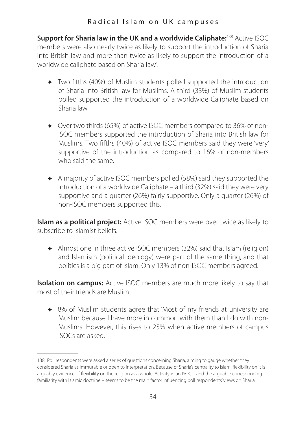**Support for Sharia law in the UK and a worldwide Caliphate:**<sup>138</sup> Active ISOC members were also nearly twice as likely to support the introduction of Sharia into British law and more than twice as likely to support the introduction of 'a worldwide caliphate based on Sharia law'.

- ✦ Two fifths (40%) of Muslim students polled supported the introduction of Sharia into British law for Muslims. A third (33%) of Muslim students polled supported the introduction of a worldwide Caliphate based on Sharia law
- ✦ Over two thirds (65%) of active ISOC members compared to 36% of non-ISOC members supported the introduction of Sharia into British law for Muslims. Two fifths (40%) of active ISOC members said they were 'very' supportive of the introduction as compared to 16% of non-members who said the same.
- ✦ A majority of active ISOC members polled (58%) said they supported the introduction of a worldwide Caliphate – a third (32%) said they were very supportive and a quarter (26%) fairly supportive. Only a quarter (26%) of non-ISOC members supported this.

**Islam as a political project:** Active ISOC members were over twice as likely to subscribe to Islamist beliefs.

✦ Almost one in three active ISOC members (32%) said that Islam (religion) and Islamism (political ideology) were part of the same thing, and that politics is a big part of Islam. Only 13% of non-ISOC members agreed.

**Isolation on campus:** Active ISOC members are much more likely to say that most of their friends are Muslim.

✦ 8% of Muslim students agree that 'Most of my friends at university are Muslim because I have more in common with them than I do with non-Muslims. However, this rises to 25% when active members of campus ISOCs are asked.

<sup>138</sup> Poll respondents were asked a series of questions concerning Sharia, aiming to gauge whether they considered Sharia as immutable or open to interpretation. Because of Sharia's centrality to Islam, flexibility on it is arguably evidence of flexibility on the religion as a whole. Activity in an ISOC – and the arguable corresponding familiarity with Islamic doctrine – seems to be the main factor influencing poll respondents' views on Sharia.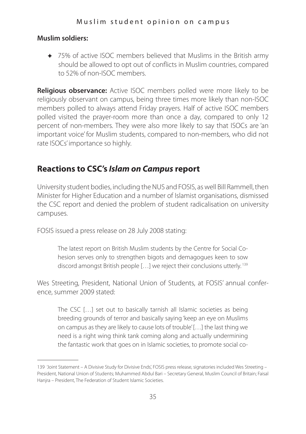#### M uslim student opinion on campus

#### **Muslim soldiers:**

✦ 75% of active ISOC members believed that Muslims in the British army should be allowed to opt out of conflicts in Muslim countries, compared to 52% of non-ISOC members.

**Religious observance:** Active ISOC members polled were more likely to be religiously observant on campus, being three times more likely than non-ISOC members polled to always attend Friday prayers. Half of active ISOC members polled visited the prayer-room more than once a day, compared to only 12 percent of non-members. They were also more likely to say that ISOCs are 'an important voice' for Muslim students, compared to non-members, who did not rate ISOCs' importance so highly.

### **Reactions to CSC's** *Islam on Campus* **report**

University student bodies, including the NUS and FOSIS, as well Bill Rammell, then Minister for Higher Education and a number of Islamist organisations, dismissed the CSC report and denied the problem of student radicalisation on university campuses.

FOSIS issued a press release on 28 July 2008 stating:

The latest report on British Muslim students by the Centre for Social Cohesion serves only to strengthen bigots and demagogues keen to sow discord amongst British people […] we reject their conclusions utterly. 139

Wes Streeting, President, National Union of Students, at FOSIS' annual conference, summer 2009 stated:

The CSC […] set out to basically tarnish all Islamic societies as being breeding grounds of terror and basically saying 'keep an eye on Muslims on campus as they are likely to cause lots of trouble' […] the last thing we need is a right wing think tank coming along and actually undermining the fantastic work that goes on in Islamic societies, to promote social co-

<sup>139</sup> 'Joint Statement – A Divisive Study for Divisive Ends', FOSIS press release, signatories included Wes Streeting – President, National Union of Students; Muhammed Abdul Bari – Secretary General, Muslim Council of Britain; Faisal Hanjra – President, The Federation of Student Islamic Societies.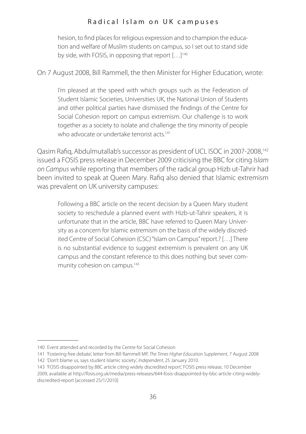hesion, to find places for religious expression and to champion the education and welfare of Muslim students on campus, so I set out to stand side by side, with FOSIS, in opposing that report […]140

On 7 August 2008, Bill Rammell, the then Minister for Higher Education, wrote:

I'm pleased at the speed with which groups such as the Federation of Student Islamic Societies, Universities UK, the National Union of Students and other political parties have dismissed the findings of the Centre for Social Cohesion report on campus extremism. Our challenge is to work together as a society to isolate and challenge the tiny minority of people who advocate or undertake terrorist acts.<sup>141</sup>

Qasim Rafiq, Abdulmutallab's successor as president of UCL ISOC in 2007-2008,142 issued a FOSIS press release in December 2009 criticising the BBC for citing *Islam on Campus* while reporting that members of the radical group Hizb ut-Tahrir had been invited to speak at Queen Mary. Rafiq also denied that Islamic extremism was prevalent on UK university campuses:

Following a BBC article on the recent decision by a Queen Mary student society to reschedule a planned event with Hizb-ut-Tahrir speakers, it is unfortunate that in the article, BBC have referred to Queen Mary University as a concern for Islamic extremism on the basis of the widely discredited Centre of Social Cohesion (CSC) "Islam on Campus" report.? […] There is no substantial evidence to suggest extremism is prevalent on any UK campus and the constant reference to this does nothing but sever community cohesion on campus.<sup>143</sup>

<sup>140</sup> Event attended and recorded by the Centre for Social Cohesion

<sup>141</sup> 'Fostering free debate', letter from Bill Rammell MP, *The Times Higher Education Supplement*, 7 August 2008 142 'Don't blame us, says student Islamic society', *Independent*, 25 January 2010.

<sup>143</sup> 'FOSIS disappointed by BBC article citing widely discredited report', FOSIS press release, 10 December

<sup>2009,</sup> available at http://fosis.org.uk/media/press-releases/644-fosis-disappointed-by-bbc-article-citing-widelydiscredited-report [accessed 25/1/2010]